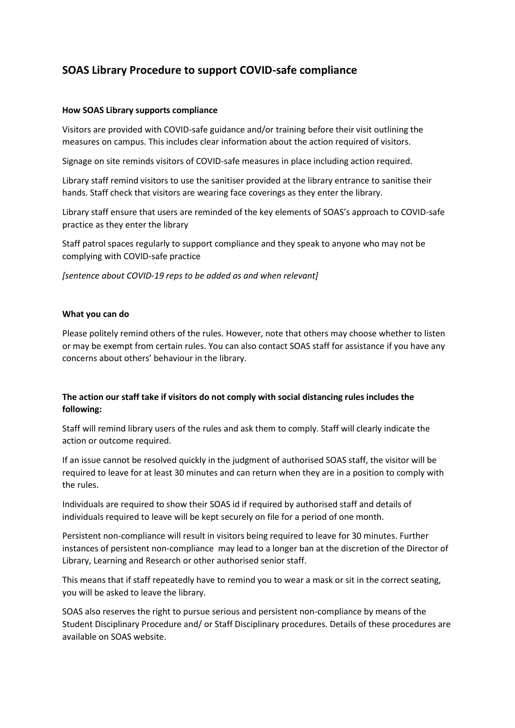# **SOAS Library Procedure to support COVID-safe compliance**

### **How SOAS Library supports compliance**

Visitors are provided with COVID-safe guidance and/or training before their visit outlining the measures on campus. This includes clear information about the action required of visitors.

Signage on site reminds visitors of COVID-safe measures in place including action required.

Library staff remind visitors to use the sanitiser provided at the library entrance to sanitise their hands. Staff check that visitors are wearing face coverings as they enter the library.

Library staff ensure that users are reminded of the key elements of SOAS's approach to COVID-safe practice as they enter the library

Staff patrol spaces regularly to support compliance and they speak to anyone who may not be complying with COVID-safe practice

*[sentence about COVID-19 reps to be added as and when relevant]*

## **What you can do**

Please politely remind others of the rules. However, note that others may choose whether to listen or may be exempt from certain rules. You can also contact SOAS staff for assistance if you have any concerns about others' behaviour in the library.

## **The action our staff take if visitors do not comply with social distancing rules includes the following:**

Staff will remind library users of the rules and ask them to comply. Staff will clearly indicate the action or outcome required.

If an issue cannot be resolved quickly in the judgment of authorised SOAS staff, the visitor will be required to leave for at least 30 minutes and can return when they are in a position to comply with the rules.

Individuals are required to show their SOAS id if required by authorised staff and details of individuals required to leave will be kept securely on file for a period of one month.

Persistent non-compliance will result in visitors being required to leave for 30 minutes. Further instances of persistent non-compliance may lead to a longer ban at the discretion of the Director of Library, Learning and Research or other authorised senior staff.

This means that if staff repeatedly have to remind you to wear a mask or sit in the correct seating, you will be asked to leave the library.

SOAS also reserves the right to pursue serious and persistent non-compliance by means of the Student Disciplinary Procedure and/ or Staff Disciplinary procedures. Details of these procedures are available on SOAS website.